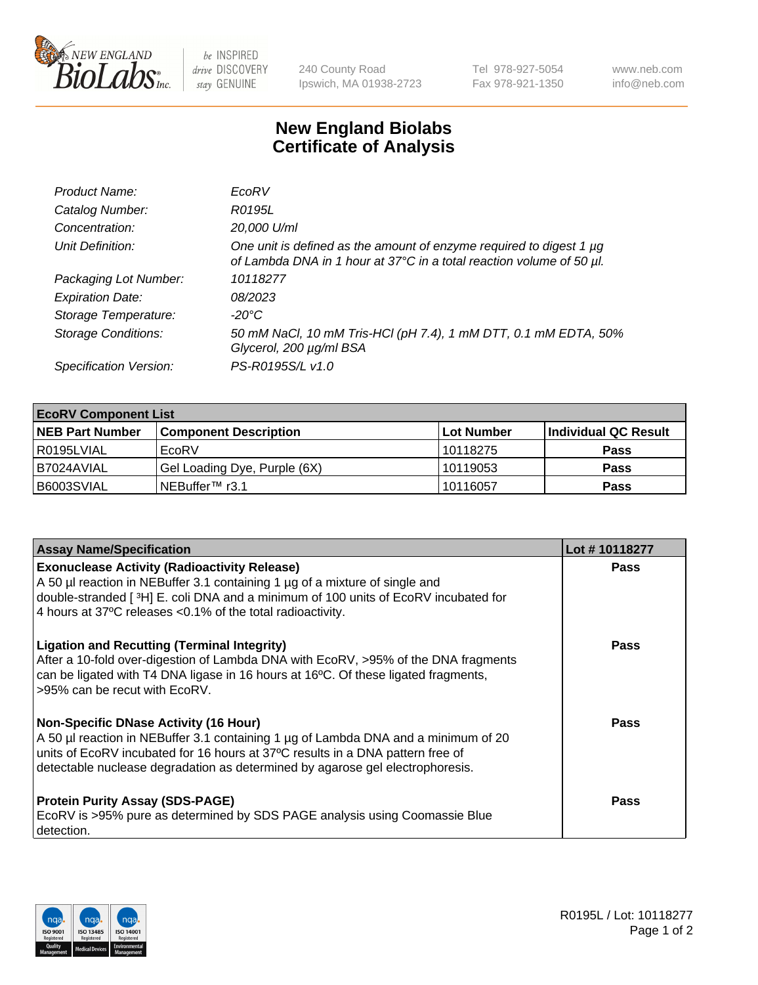

 $be$  INSPIRED drive DISCOVERY stay GENUINE

240 County Road Ipswich, MA 01938-2723 Tel 978-927-5054 Fax 978-921-1350 www.neb.com info@neb.com

## **New England Biolabs Certificate of Analysis**

| Product Name:              | EcoRV                                                                                                                                       |
|----------------------------|---------------------------------------------------------------------------------------------------------------------------------------------|
| Catalog Number:            | R0195L                                                                                                                                      |
| Concentration:             | 20,000 U/ml                                                                                                                                 |
| Unit Definition:           | One unit is defined as the amount of enzyme required to digest 1 µg<br>of Lambda DNA in 1 hour at 37°C in a total reaction volume of 50 µl. |
| Packaging Lot Number:      | 10118277                                                                                                                                    |
| <b>Expiration Date:</b>    | 08/2023                                                                                                                                     |
| Storage Temperature:       | -20°C                                                                                                                                       |
| <b>Storage Conditions:</b> | 50 mM NaCl, 10 mM Tris-HCl (pH 7.4), 1 mM DTT, 0.1 mM EDTA, 50%<br>Glycerol, 200 µg/ml BSA                                                  |
| Specification Version:     | PS-R0195S/L v1.0                                                                                                                            |

| <b>EcoRV Component List</b> |                              |            |                      |  |  |
|-----------------------------|------------------------------|------------|----------------------|--|--|
| <b>NEB Part Number</b>      | <b>Component Description</b> | Lot Number | Individual QC Result |  |  |
| I R0195LVIAL                | EcoRV                        | 10118275   | <b>Pass</b>          |  |  |
| I B7024AVIAL                | Gel Loading Dye, Purple (6X) | 10119053   | <b>Pass</b>          |  |  |
| B6003SVIAL                  | INEBuffer™ r3.1              | 10116057   | <b>Pass</b>          |  |  |

| <b>Assay Name/Specification</b>                                                                                                                                                                                                                                                                      | Lot #10118277 |
|------------------------------------------------------------------------------------------------------------------------------------------------------------------------------------------------------------------------------------------------------------------------------------------------------|---------------|
| <b>Exonuclease Activity (Radioactivity Release)</b><br>A 50 µl reaction in NEBuffer 3.1 containing 1 µg of a mixture of single and<br>double-stranded [ <sup>3</sup> H] E. coli DNA and a minimum of 100 units of EcoRV incubated for<br>4 hours at 37°C releases < 0.1% of the total radioactivity. | <b>Pass</b>   |
| <b>Ligation and Recutting (Terminal Integrity)</b><br>After a 10-fold over-digestion of Lambda DNA with EcoRV, >95% of the DNA fragments<br>can be ligated with T4 DNA ligase in 16 hours at 16 $\degree$ C. Of these ligated fragments,<br>l >95% can be recut with EcoRV.                          | Pass          |
| Non-Specific DNase Activity (16 Hour)<br>A 50 µl reaction in NEBuffer 3.1 containing 1 µg of Lambda DNA and a minimum of 20<br>units of EcoRV incubated for 16 hours at 37°C results in a DNA pattern free of<br>detectable nuclease degradation as determined by agarose gel electrophoresis.       | <b>Pass</b>   |
| <b>Protein Purity Assay (SDS-PAGE)</b><br>EcoRV is >95% pure as determined by SDS PAGE analysis using Coomassie Blue<br>l detection.                                                                                                                                                                 | <b>Pass</b>   |